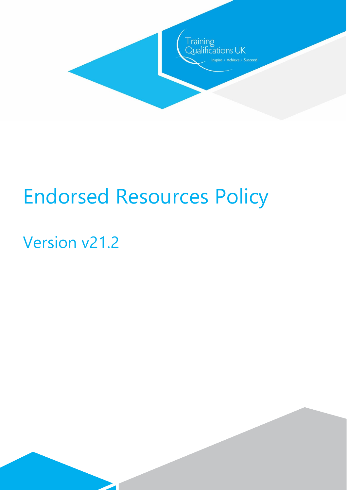

# Endorsed Resources Policy

# Version v21.2

 $\overline{\phantom{a}}$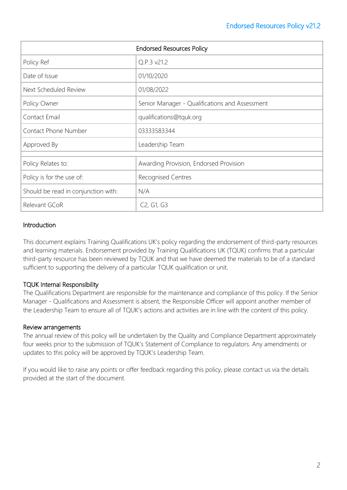| <b>Endorsed Resources Policy</b>    |                                                  |
|-------------------------------------|--------------------------------------------------|
| Policy Ref                          | Q.P.3 v21.2                                      |
| Date of Issue                       | 01/10/2020                                       |
| Next Scheduled Review               | 01/08/2022                                       |
| Policy Owner                        | Senior Manager - Qualifications and Assessment   |
| Contact Email                       | qualifications@tquk.org                          |
| Contact Phone Number                | 03333583344                                      |
| Approved By                         | Leadership Team                                  |
| Policy Relates to:                  | Awarding Provision, Endorsed Provision           |
| Policy is for the use of:           | <b>Recognised Centres</b>                        |
| Should be read in conjunction with: | N/A                                              |
| Relevant GCoR                       | C <sub>2</sub> , G <sub>1</sub> , G <sub>3</sub> |

# **Introduction**

This document explains Training Qualifications UK's policy regarding the endorsement of third-party resources and learning materials. Endorsement provided by Training Qualifications UK (TQUK) confirms that a particular third-party resource has been reviewed by TQUK and that we have deemed the materials to be of a standard sufficient to supporting the delivery of a particular TQUK qualification or unit.

# TQUK Internal Responsibility

The Qualifications Department are responsible for the maintenance and compliance of this policy. If the Senior Manager - Qualifications and Assessment is absent, the Responsible Officer will appoint another member of the Leadership Team to ensure all of TQUK's actions and activities are in line with the content of this policy.

#### Review arrangements

The annual review of this policy will be undertaken by the Quality and Compliance Department approximately four weeks prior to the submission of TQUK's Statement of Compliance to regulators. Any amendments or updates to this policy will be approved by TQUK's Leadership Team.

If you would like to raise any points or offer feedback regarding this policy, please contact us via the details provided at the start of the document.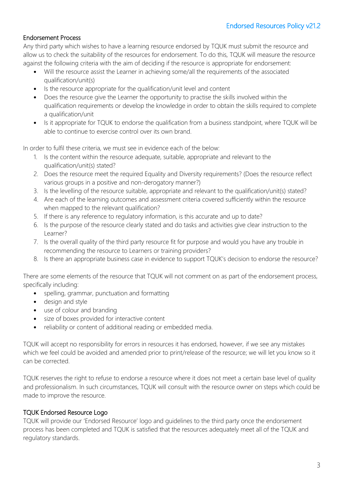# Endorsement Process

Any third party which wishes to have a learning resource endorsed by TQUK must submit the resource and allow us to check the suitability of the resources for endorsement. To do this, TQUK will measure the resource against the following criteria with the aim of deciding if the resource is appropriate for endorsement:

- Will the resource assist the Learner in achieving some/all the requirements of the associated qualification/unit(s)
- Is the resource appropriate for the qualification/unit level and content
- Does the resource give the Learner the opportunity to practise the skills involved within the qualification requirements or develop the knowledge in order to obtain the skills required to complete a qualification/unit
- Is it appropriate for TQUK to endorse the qualification from a business standpoint, where TQUK will be able to continue to exercise control over its own brand.

In order to fulfil these criteria, we must see in evidence each of the below:

- 1. Is the content within the resource adequate, suitable, appropriate and relevant to the qualification/unit(s) stated?
- 2. Does the resource meet the required Equality and Diversity requirements? (Does the resource reflect various groups in a positive and non-derogatory manner?)
- 3. Is the levelling of the resource suitable, appropriate and relevant to the qualification/unit(s) stated?
- 4. Are each of the learning outcomes and assessment criteria covered sufficiently within the resource when mapped to the relevant qualification?
- 5. If there is any reference to regulatory information, is this accurate and up to date?
- 6. Is the purpose of the resource clearly stated and do tasks and activities give clear instruction to the Learner?
- 7. Is the overall quality of the third party resource fit for purpose and would you have any trouble in recommending the resource to Learners or training providers?
- 8. Is there an appropriate business case in evidence to support TQUK's decision to endorse the resource?

There are some elements of the resource that TQUK will not comment on as part of the endorsement process, specifically including:

- spelling, grammar, punctuation and formatting
- design and style
- use of colour and branding
- size of boxes provided for interactive content
- reliability or content of additional reading or embedded media.

TQUK will accept no responsibility for errors in resources it has endorsed, however, if we see any mistakes which we feel could be avoided and amended prior to print/release of the resource; we will let you know so it can be corrected.

TQUK reserves the right to refuse to endorse a resource where it does not meet a certain base level of quality and professionalism. In such circumstances, TQUK will consult with the resource owner on steps which could be made to improve the resource.

# TQUK Endorsed Resource Logo

TQUK will provide our 'Endorsed Resource' logo and guidelines to the third party once the endorsement process has been completed and TQUK is satisfied that the resources adequately meet all of the TQUK and regulatory standards.